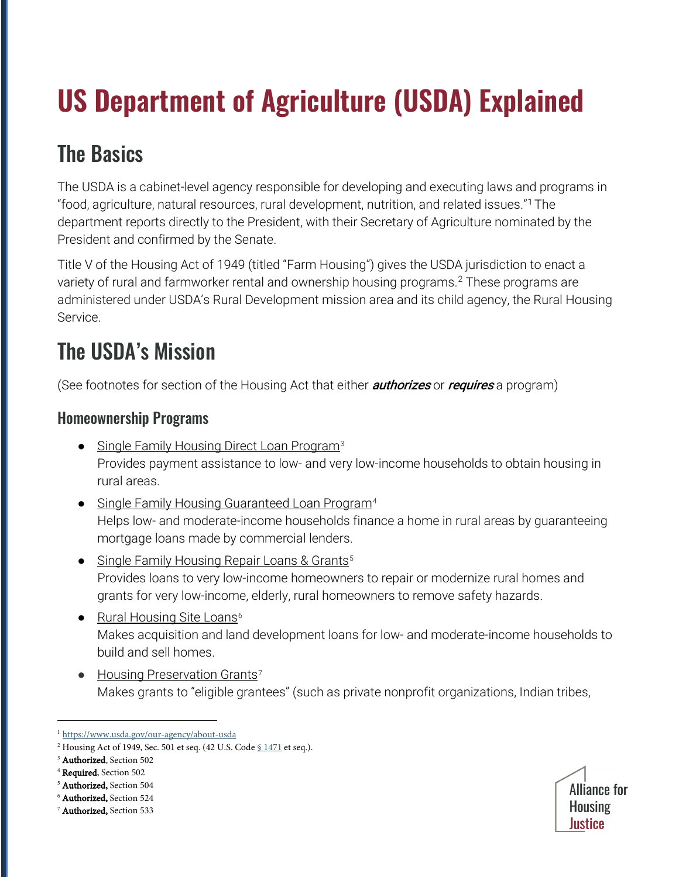# **US Department of Agriculture (USDA) Explained**

### The Basics

The USDA is a cabinet-level agency responsible for developing and executing laws and programs in "food, agriculture, natural resources, rural development, nutrition, and related issues."[1](#page-0-0) The department reports directly to the President, with their Secretary of Agriculture nominated by the President and confirmed by the Senate.

Title V of the Housing Act of 1949 (titled "Farm Housing") gives the USDA jurisdiction to enact a variety of rural and farmworker rental and ownership housing programs.<sup>[2](#page-0-1)</sup> These programs are administered under USDA's Rural Development mission area and its child agency, the Rural Housing Service.

## The USDA's Mission

(See footnotes for section of the Housing Act that either *authorizes* or *requires* a program)

#### Homeownership Programs

- Single Family Housing Direct Loan Program<sup>[3](#page-0-2)</sup> Provides payment assistance to low- and very low-income households to obtain housing in rural areas.
- Single Family Housing Guaranteed Loan Program<sup>[4](#page-0-3)</sup> Helps low- and moderate-income households finance a home in rural areas by guaranteeing mortgage loans made by commercial lenders.
- Single Family Housing Repair Loans & Grants<sup>[5](#page-0-4)</sup> Provides loans to very low-income homeowners to repair or modernize rural homes and grants for very low-income, elderly, rural homeowners to remove safety hazards.
- Rural Housing Site Loans<sup>[6](#page-0-5)</sup> Makes acquisition and land development loans for low- and moderate-income households to build and sell homes.
- $\bullet$  Housing Preservation Grants<sup>[7](#page-0-6)</sup> Makes grants to "eligible grantees" (such as private nonprofit organizations, Indian tribes,

<span id="page-0-5"></span><span id="page-0-4"></span><sup>5</sup> Authorized, Section 504<br><sup>6</sup> Authorized, Section 524



<span id="page-0-0"></span><sup>&</sup>lt;sup>1</sup> https://www.usda.gov/our-agency/about-usda

<span id="page-0-1"></span><sup>&</sup>lt;sup>2</sup> Housing Act of 1949, Sec. 501 et seq. (42 U.S. Code §  $1471$  et seq.).

<span id="page-0-2"></span><sup>&</sup>lt;sup>3</sup> Authorized, Section 502

<span id="page-0-3"></span><sup>&</sup>lt;sup>4</sup> Required, Section 502

<span id="page-0-6"></span><sup>&</sup>lt;sup>7</sup> Authorized, Section 533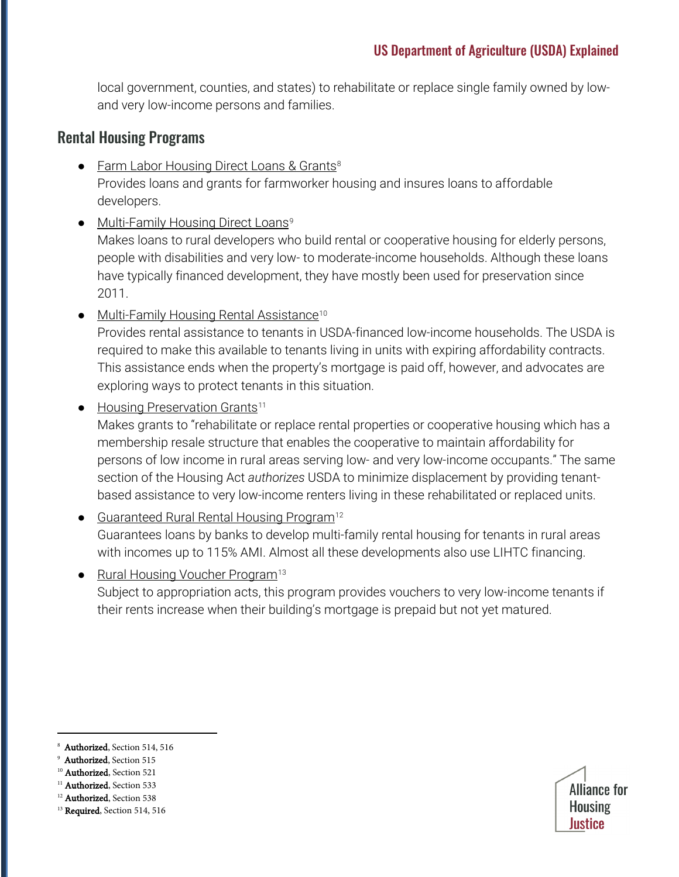local government, counties, and states) to rehabilitate or replace single family owned by lowand very low-income persons and families.

#### Rental Housing Programs

- Farm Labor Housing Direct Loans & Grants<sup>[8](#page-1-0)</sup> Provides loans and grants for farmworker housing and insures loans to affordable developers.
- Multi-Family Housing Direct Loans<sup>[9](#page-1-1)</sup>

Makes loans to rural developers who build rental or cooperative housing for elderly persons, people with disabilities and very low- to moderate-income households. Although these loans have typically financed development, they have mostly been used for preservation since 2011.

● Multi-Family Housing Rental Assistance<sup>[10](#page-1-2)</sup>

Provides rental assistance to tenants in USDA-financed low-income households. The USDA is required to make this available to tenants living in units with expiring affordability contracts. This assistance ends when the property's mortgage is paid off, however, and advocates are exploring ways to protect tenants in this situation.

• Housing Preservation Grants<sup>[11](#page-1-3)</sup>

Makes grants to "rehabilitate or replace rental properties or cooperative housing which has a membership resale structure that enables the cooperative to maintain affordability for persons of low income in rural areas serving low- and very low-income occupants." The same section of the Housing Act *authorizes* USDA to minimize displacement by providing tenantbased assistance to very low-income renters living in these rehabilitated or replaced units.

- Guaranteed Rural Rental Housing Program<sup>[12](#page-1-4)</sup> Guarantees loans by banks to develop multi-family rental housing for tenants in rural areas with incomes up to 115% AMI. Almost all these developments also use LIHTC financing.
- Rural Housing Voucher Program<sup>[13](#page-1-5)</sup> Subject to appropriation acts, this program provides vouchers to very low-income tenants if their rents increase when their building's mortgage is prepaid but not yet matured.

- <span id="page-1-1"></span>Authorized, Section 515
- <span id="page-1-2"></span><sup>10</sup> Authorized, Section 521
- <span id="page-1-3"></span><sup>11</sup> Authorized, Section 533



<span id="page-1-0"></span>Authorized, Section 514, 516

<span id="page-1-5"></span><span id="page-1-4"></span><sup>&</sup>lt;sup>12</sup> Authorized, Section 538 <sup>13</sup> Required, Section 514, 516